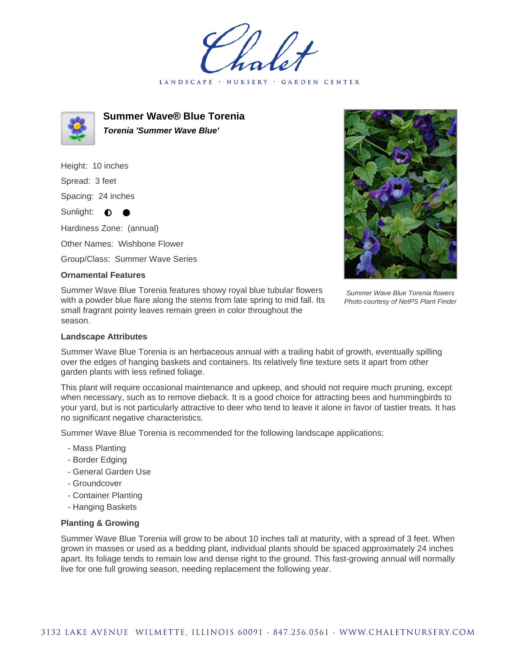LANDSCAPE · **GARDEN CENTER** 



**Summer Wave® Blue Torenia Torenia 'Summer Wave Blue'**

Height: 10 inches

Spread: 3 feet

Spacing: 24 inches

Sunlight:  $\bullet$  $\bullet$ 

Hardiness Zone: (annual)

Other Names: Wishbone Flower

Group/Class: Summer Wave Series

## **Ornamental Features**

Summer Wave Blue Torenia features showy royal blue tubular flowers with a powder blue flare along the stems from late spring to mid fall. Its small fragrant pointy leaves remain green in color throughout the season.



Summer Wave Blue Torenia flowers Photo courtesy of NetPS Plant Finder

## **Landscape Attributes**

Summer Wave Blue Torenia is an herbaceous annual with a trailing habit of growth, eventually spilling over the edges of hanging baskets and containers. Its relatively fine texture sets it apart from other garden plants with less refined foliage.

This plant will require occasional maintenance and upkeep, and should not require much pruning, except when necessary, such as to remove dieback. It is a good choice for attracting bees and hummingbirds to your yard, but is not particularly attractive to deer who tend to leave it alone in favor of tastier treats. It has no significant negative characteristics.

Summer Wave Blue Torenia is recommended for the following landscape applications;

- Mass Planting
- Border Edging
- General Garden Use
- Groundcover
- Container Planting
- Hanging Baskets

## **Planting & Growing**

Summer Wave Blue Torenia will grow to be about 10 inches tall at maturity, with a spread of 3 feet. When grown in masses or used as a bedding plant, individual plants should be spaced approximately 24 inches apart. Its foliage tends to remain low and dense right to the ground. This fast-growing annual will normally live for one full growing season, needing replacement the following year.